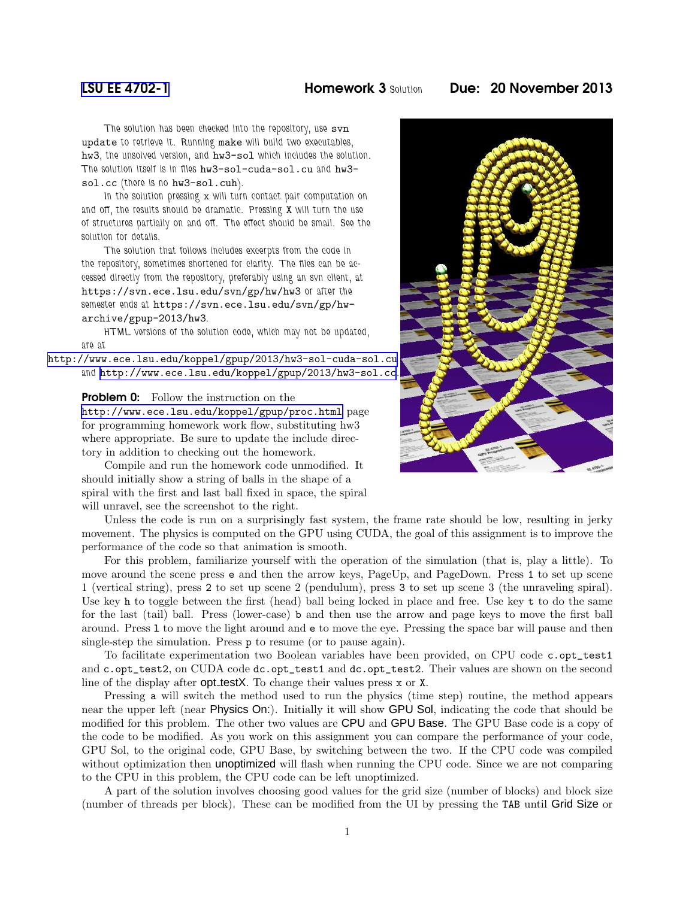## [LSU EE 4702-1](http://www.ece.lsu.edu/koppel/gpup/) Homework 3 *Solution* Due: 20 November 2013

*The solution has been checked into the repository, use* svn update *to retrieve it. Running* make *will build two executables,* hw3*, the unsolved version, and* hw3-sol *which includes the solution. The solution itself is in files* hw3-sol-cuda-sol.cu *and* hw3 sol.cc *(there is no* hw3-sol.cuh*).*

*In the solution pressing* x *will turn contact pair computation on and off, the results should be dramatic. Pressing* X *will turn the use of structures partially on and off. The effect should be small. See the solution for details.*

*The solution that follows includes excerpts from the code in the repository, sometimes shortened for clarity. The files can be accessed directly from the repository, preferably using an svn client, at* https://svn.ece.lsu.edu/svn/gp/hw/hw3 *or after the semester ends at* https://svn.ece.lsu.edu/svn/gp/hwarchive/gpup-2013/hw3*.*

*HTML versions of the solution code, which may not be updated, are at*

<http://www.ece.lsu.edu/koppel/gpup/2013/hw3-sol-cuda-sol.cu> *and* <http://www.ece.lsu.edu/koppel/gpup/2013/hw3-sol.cc>*.*

## **Problem 0:** Follow the instruction on the

<http://www.ece.lsu.edu/koppel/gpup/proc.html> page for programming homework work flow, substituting hw3 where appropriate. Be sure to update the include directory in addition to checking out the homework.

Compile and run the homework code unmodified. It should initially show a string of balls in the shape of a spiral with the first and last ball fixed in space, the spiral will unravel, see the screenshot to the right.

Unless the code is run on a surprisingly fast system, the frame rate should be low, resulting in jerky movement. The physics is computed on the GPU using CUDA, the goal of this assignment is to improve the performance of the code so that animation is smooth.

For this problem, familiarize yourself with the operation of the simulation (that is, play a little). To move around the scene press e and then the arrow keys, PageUp, and PageDown. Press 1 to set up scene 1 (vertical string), press 2 to set up scene 2 (pendulum), press 3 to set up scene 3 (the unraveling spiral). Use key h to toggle between the first (head) ball being locked in place and free. Use key t to do the same for the last (tail) ball. Press (lower-case) b and then use the arrow and page keys to move the first ball around. Press l to move the light around and e to move the eye. Pressing the space bar will pause and then single-step the simulation. Press p to resume (or to pause again).

To facilitate experimentation two Boolean variables have been provided, on CPU code c.opt\_test1 and c.opt\_test2, on CUDA code dc.opt\_test1 and dc.opt\_test2. Their values are shown on the second line of the display after **opt testX**. To change their values press x or X.

Pressing a will switch the method used to run the physics (time step) routine, the method appears near the upper left (near Physics On:). Initially it will show GPU Sol, indicating the code that should be modified for this problem. The other two values are CPU and GPU Base. The GPU Base code is a copy of the code to be modified. As you work on this assignment you can compare the performance of your code, GPU Sol, to the original code, GPU Base, by switching between the two. If the CPU code was compiled without optimization then **unoptimized** will flash when running the CPU code. Since we are not comparing to the CPU in this problem, the CPU code can be left unoptimized.

A part of the solution involves choosing good values for the grid size (number of blocks) and block size (number of threads per block). These can be modified from the UI by pressing the TAB until Grid Size or

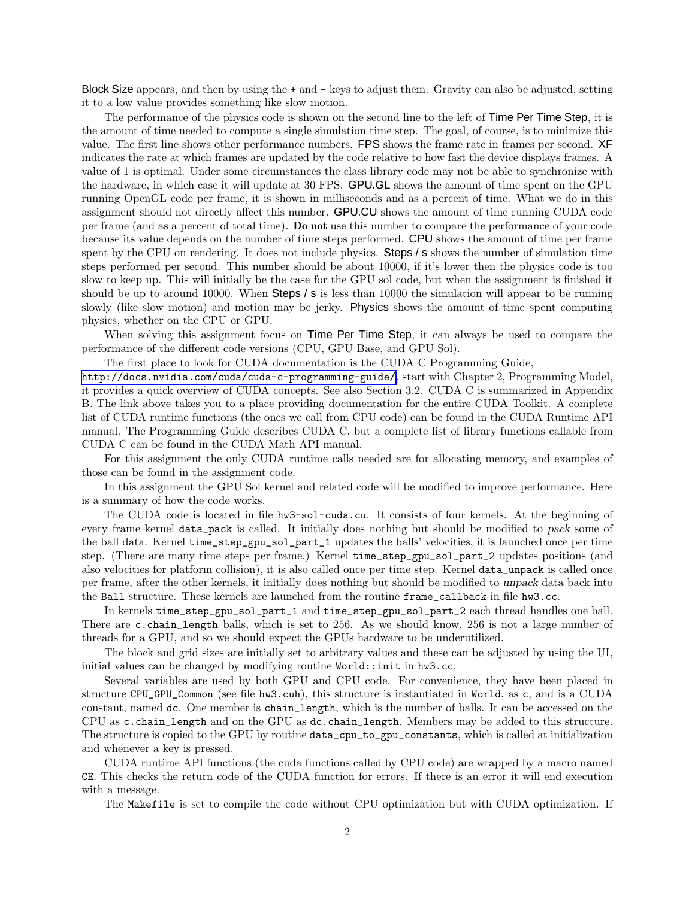Block Size appears, and then by using the  $+$  and  $-$  keys to adjust them. Gravity can also be adjusted, setting it to a low value provides something like slow motion.

The performance of the physics code is shown on the second line to the left of Time Per Time Step, it is the amount of time needed to compute a single simulation time step. The goal, of course, is to minimize this value. The first line shows other performance numbers. FPS shows the frame rate in frames per second. XF indicates the rate at which frames are updated by the code relative to how fast the device displays frames. A value of 1 is optimal. Under some circumstances the class library code may not be able to synchronize with the hardware, in which case it will update at 30 FPS. GPU.GL shows the amount of time spent on the GPU running OpenGL code per frame, it is shown in milliseconds and as a percent of time. What we do in this assignment should not directly affect this number. GPU.CU shows the amount of time running CUDA code per frame (and as a percent of total time). Do not use this number to compare the performance of your code because its value depends on the number of time steps performed. CPU shows the amount of time per frame spent by the CPU on rendering. It does not include physics. Steps / s shows the number of simulation time steps performed per second. This number should be about 10000, if it's lower then the physics code is too slow to keep up. This will initially be the case for the GPU sol code, but when the assignment is finished it should be up to around 10000. When Steps / s is less than 10000 the simulation will appear to be running slowly (like slow motion) and motion may be jerky. **Physics** shows the amount of time spent computing physics, whether on the CPU or GPU.

When solving this assignment focus on **Time Per Time Step**, it can always be used to compare the performance of the different code versions (CPU, GPU Base, and GPU Sol).

The first place to look for CUDA documentation is the CUDA C Programming Guide,

<http://docs.nvidia.com/cuda/cuda-c-programming-guide/>, start with Chapter 2, Programming Model, it provides a quick overview of CUDA concepts. See also Section 3.2. CUDA C is summarized in Appendix B. The link above takes you to a place providing documentation for the entire CUDA Toolkit. A complete list of CUDA runtime functions (the ones we call from CPU code) can be found in the CUDA Runtime API manual. The Programming Guide describes CUDA C, but a complete list of library functions callable from CUDA C can be found in the CUDA Math API manual.

For this assignment the only CUDA runtime calls needed are for allocating memory, and examples of those can be found in the assignment code.

In this assignment the GPU Sol kernel and related code will be modified to improve performance. Here is a summary of how the code works.

The CUDA code is located in file hw3-sol-cuda.cu. It consists of four kernels. At the beginning of every frame kernel data\_pack is called. It initially does nothing but should be modified to pack some of the ball data. Kernel time\_step\_gpu\_sol\_part\_1 updates the balls' velocities, it is launched once per time step. (There are many time steps per frame.) Kernel time\_step\_gpu\_sol\_part\_2 updates positions (and also velocities for platform collision), it is also called once per time step. Kernel data\_unpack is called once per frame, after the other kernels, it initially does nothing but should be modified to unpack data back into the Ball structure. These kernels are launched from the routine frame\_callback in file hw3.cc.

In kernels time\_step\_gpu\_sol\_part\_1 and time\_step\_gpu\_sol\_part\_2 each thread handles one ball. There are c.chain\_length balls, which is set to 256. As we should know, 256 is not a large number of threads for a GPU, and so we should expect the GPUs hardware to be underutilized.

The block and grid sizes are initially set to arbitrary values and these can be adjusted by using the UI, initial values can be changed by modifying routine World::init in hw3.cc.

Several variables are used by both GPU and CPU code. For convenience, they have been placed in structure CPU\_GPU\_Common (see file hw3.cuh), this structure is instantiated in World, as c, and is a CUDA constant, named dc. One member is chain\_length, which is the number of balls. It can be accessed on the CPU as c.chain\_length and on the GPU as dc.chain\_length. Members may be added to this structure. The structure is copied to the GPU by routine data\_cpu\_to\_gpu\_constants, which is called at initialization and whenever a key is pressed.

CUDA runtime API functions (the cuda functions called by CPU code) are wrapped by a macro named CE. This checks the return code of the CUDA function for errors. If there is an error it will end execution with a message.

The Makefile is set to compile the code without CPU optimization but with CUDA optimization. If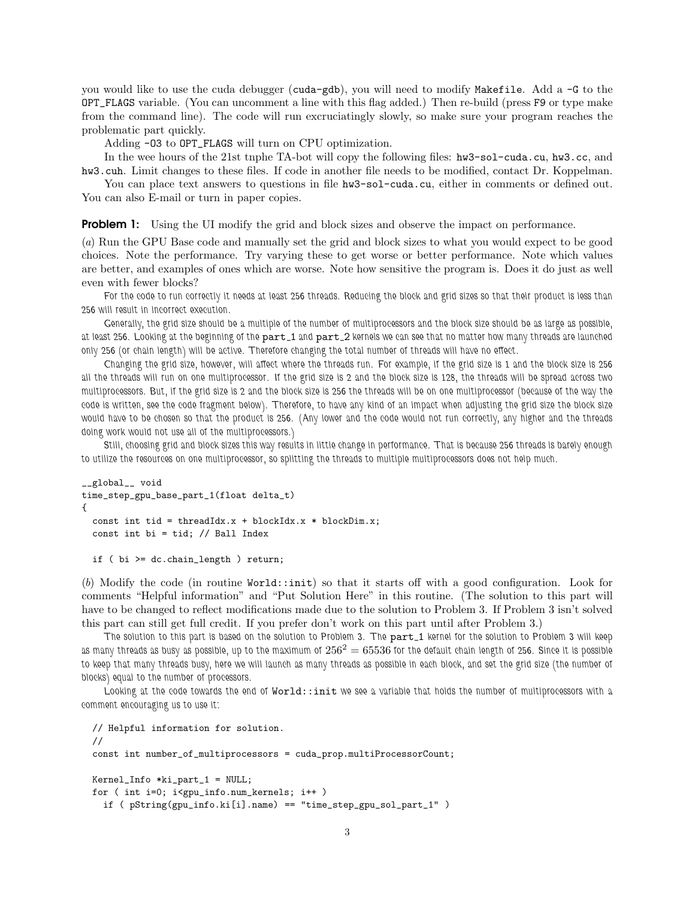you would like to use the cuda debugger (cuda-gdb), you will need to modify Makefile. Add a -G to the OPT\_FLAGS variable. (You can uncomment a line with this flag added.) Then re-build (press F9 or type make from the command line). The code will run excruciatingly slowly, so make sure your program reaches the problematic part quickly.

Adding -O3 to OPT\_FLAGS will turn on CPU optimization.

In the wee hours of the 21st tnphe TA-bot will copy the following files: hw3-sol-cuda.cu, hw3.cc, and hw3.cuh. Limit changes to these files. If code in another file needs to be modified, contact Dr. Koppelman.

You can place text answers to questions in file  $hwd-sol-cuda.cu$ , either in comments or defined out. You can also E-mail or turn in paper copies.

**Problem 1:** Using the UI modify the grid and block sizes and observe the impact on performance.

(*a*) Run the GPU Base code and manually set the grid and block sizes to what you would expect to be good choices. Note the performance. Try varying these to get worse or better performance. Note which values are better, and examples of ones which are worse. Note how sensitive the program is. Does it do just as well even with fewer blocks?

*For the code to run correctly it needs at least 256 threads. Reducing the block and grid sizes so that their product is less than 256 will result in incorrect execution.*

*Generally, the grid size should be a multiple of the number of multiprocessors and the block size should be as large as possible, at least 256. Looking at the beginning of the* part 1 *and* part 2 *kernels we can see that no matter how many threads are launched only 256 (or chain length) will be active. Therefore changing the total number of threads will have no effect.*

*Changing the grid size, however, will affect where the threads run. For example, if the grid size is 1 and the block size is 256 all the threads will run on one multiprocessor. If the grid size is 2 and the block size is 128, the threads will be spread across two multiprocessors. But, if the grid size is 2 and the block size is 256 the threads will be on one multiprocessor (because of the way the code is written, see the code fragment below). Therefore, to have any kind of an impact when adjusting the grid size the block size would have to be chosen so that the product is 256. (Any lower and the code would not run correctly, any higher and the threads doing work would not use all of the multiprocessors.)*

*Still, choosing grid and block sizes this way results in little change in performance. That is because 256 threads is barely enough to utilize the resources on one multiprocessor, so splitting the threads to multiple multiprocessors does not help much.*

```
__global__ void
time_step_gpu_base_part_1(float delta_t)
{
  const int tid = threadIdx.x + blockIdx.x * blockDim.x;
 const int bi = tid; // Ball Index
```
if ( bi >= dc.chain\_length ) return;

(*b*) Modify the code (in routine World::init) so that it starts off with a good configuration. Look for comments "Helpful information" and "Put Solution Here" in this routine. (The solution to this part will have to be changed to reflect modifications made due to the solution to Problem 3. If Problem 3 isn't solved this part can still get full credit. If you prefer don't work on this part until after Problem 3.)

*The solution to this part is based on the solution to Problem 3. The* part 1 *kernel for the solution to Problem 3 will keep as many threads as busy as possible, up to the maximum of* 256<sup>2</sup> = 65536 *for the default chain length of 256. Since it is possible to keep that many threads busy, here we will launch as many threads as possible in each block, and set the grid size (the number of blocks) equal to the number of processors.*

*Looking at the code towards the end of* World::init *we see a variable that holds the number of multiprocessors with a comment encouraging us to use it:*

```
// Helpful information for solution.
//
const int number_of_multiprocessors = cuda_prop.multiProcessorCount;
Kernel_Info *ki_part_1 = NULL;
for ( int i=0; i<gpu_info.num_kernels; i++ )
  if ( pString(gpu_info.ki[i].name) == "time_step_gpu_sol_part_1" )
```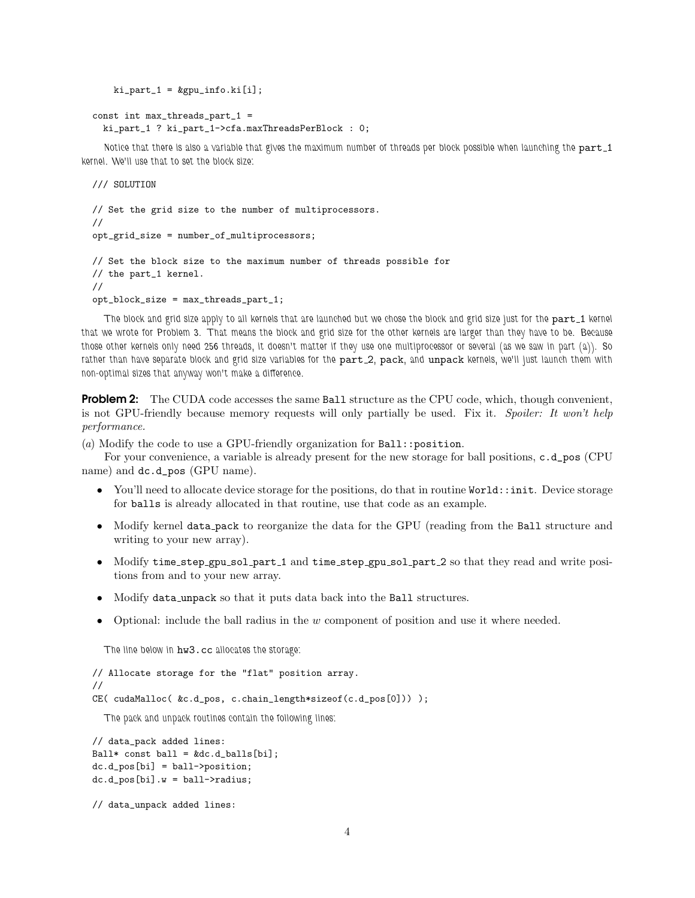```
ki<sub>-</sub>part<sub>-</sub>1 = kgpu<sub>-</sub>info.ki[i];
```

```
const int max_threads_part_1 =
 ki_part_1 ? ki_part_1->cfa.maxThreadsPerBlock : 0;
```
Notice that there is also a variable that gives the maximum number of threads per block possible when launching the part\_1 *kernel. We'll use that to set the block size:*

/// SOLUTION

```
// Set the grid size to the number of multiprocessors.
//
opt_grid_size = number_of_multiprocessors;
// Set the block size to the maximum number of threads possible for
// the part_1 kernel.
//
opt_block_size = max_threads_part_1;
```
The block and grid size apply to all kernels that are launched but we chose the block and grid size just for the part 1 kernel *that we wrote for Problem 3. That means the block and grid size for the other kernels are larger than they have to be. Because those other kernels only need 256 threads, it doesn't matter if they use one multiprocessor or several (as we saw in part (a)). So* rather than have separate block and grid size variables for the part<sub>-2</sub>, pack, and unpack kernels, we'll just launch them with *non-optimal sizes that anyway won't make a difference.*

**Problem 2:** The CUDA code accesses the same Ball structure as the CPU code, which, though convenient, is not GPU-friendly because memory requests will only partially be used. Fix it. *Spoiler: It won't help performance.*

(*a*) Modify the code to use a GPU-friendly organization for Ball::position.

For your convenience, a variable is already present for the new storage for ball positions, c.d\_pos (CPU name) and dc.d\_pos (GPU name).

- You'll need to allocate device storage for the positions, do that in routine World::init. Device storage for balls is already allocated in that routine, use that code as an example.
- Modify kernel data pack to reorganize the data for the GPU (reading from the Ball structure and writing to your new array).
- Modify time\_step\_gpu\_sol\_part\_1 and time\_step\_gpu\_sol\_part\_2 so that they read and write positions from and to your new array.
- Modify data unpack so that it puts data back into the Ball structures.
- Optional: include the ball radius in the w component of position and use it where needed.

*The line below in* hw3.cc *allocates the storage:*

```
// Allocate storage for the "flat" position array.
//
CE( cudaMalloc( &c.d_pos, c.chain_length*sizeof(c.d_pos[0])) );
```
*The pack and unpack routines contain the following lines:*

```
// data_pack added lines:
Ball* const ball = kdc.d_balls[bi];dc.d_pos[bi] = ball->position;
dc.d_pos[bi].w = ball->radius;
```
// data\_unpack added lines: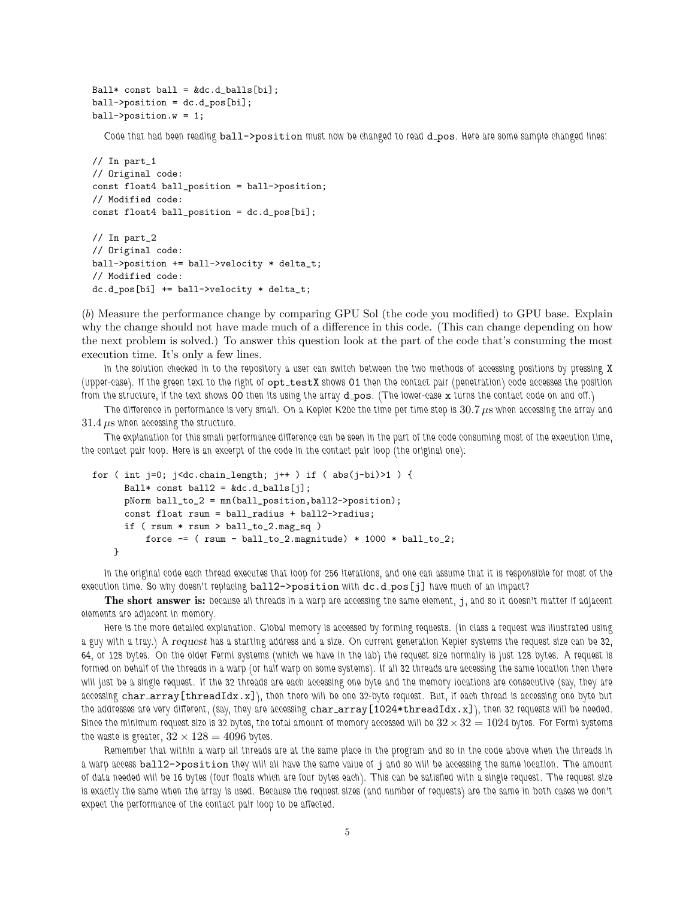```
Ball* const ball = kdc.d_balls[bi];ball->position = dc.d_pos[bi];
ball->position.w = 1;
```
*Code that had been reading* ball->position *must now be changed to read* d pos*. Here are some sample changed lines:*

```
// In part_1
// Original code:
const float4 ball_position = ball->position;
// Modified code:
const float4 ball_position = dc.d_pos[bi];
```

```
// In part_2
// Original code:
ball->position += ball->velocity * delta_t;
// Modified code:
dc.d_pos[bi] += ball->velocity * delta_t;
```
(*b*) Measure the performance change by comparing GPU Sol (the code you modified) to GPU base. Explain why the change should not have made much of a difference in this code. (This can change depending on how the next problem is solved.) To answer this question look at the part of the code that's consuming the most execution time. It's only a few lines.

*In the solution checked in to the repository a user can switch between the two methods of accessing positions by pressing* X *(upper-case).* If the green text to the right of  $opt_testX$  shows 01 then the contact pair (penetration) code accesses the position *from the structure, if the text shows* 00 *then its using the array* d pos*. (The lower-case* x *turns the contact code on and off.)*

*The difference in performance is very small. On a Kepler K20c the time per time step is* 30.7 µs *when accessing the array and*  $31.4 \,\mu s$  when accessing the structure.

*The explanation for this small performance difference can be seen in the part of the code consuming most of the execution time, the contact pair loop. Here is an excerpt of the code in the contact pair loop (the original one):*

```
for ( int j=0; j<dc.chain_length; j++ ) if ( abs(j-bi) ) {
     Ball* const ball2 = kdc.d_balls[j];pNorm ball_to_2 = mn(ball_position,ball2->position);
     const float rsum = ball_radius + ball2->radius;
     if (rsum * rsum > ball_to_2.max_sq)
         force - (rsum - ball_to_2.magnitude) * 1000 * ball_to_2;}
```
*In the original code each thread executes that loop for 256 iterations, and one can assume that it is responsible for most of the execution time. So why doesn't replacing* ball2->position *with* dc.d pos[j] *have much of an impact?*

The short answer is: *because all threads in a warp are accessing the same element,* j*, and so it doesn't matter if adjacent elements are adjacent in memory.*

*Here is the more detailed explanation. Global memory is accessed by forming requests. (In class a request was illustrated using a guy with a tray.) A* request *has a starting address and a size. On current generation Kepler systems the request size can be 32, 64, or 128 bytes. On the older Fermi systems (which we have in the lab) the request size normally is just 128 bytes. A request is formed on behalf of the threads in a warp (or half warp on some systems). If all 32 threads are accessing the same location then there will just be a single request. If the 32 threads are each accessing one byte and the memory locations are consecutive (say, they are accessing* char array[threadIdx.x]*), then there will be one 32-byte request. But, if each thread is accessing one byte but the addresses are very different, (say, they are accessing* char array[1024\*threadIdx.x]*), then 32 requests will be needed.* Since the minimum request size is 32 bytes, the total amount of memory accessed will be  $32\times32 = 1024$  bytes. For Fermi systems the waste is greater,  $32 \times 128 = 4096$  bytes.

*Remember that within a warp all threads are at the same place in the program and so in the code above when the threads in a warp access* ball2->position *they will all have the same value of* j *and so will be accessing the same location. The amount of data needed will be 16 bytes (four floats which are four bytes each). This can be satisfied with a single request. The request size is exactly the same when the array is used. Because the request sizes (and number of requests) are the same in both cases we don't expect the performance of the contact pair loop to be affected.*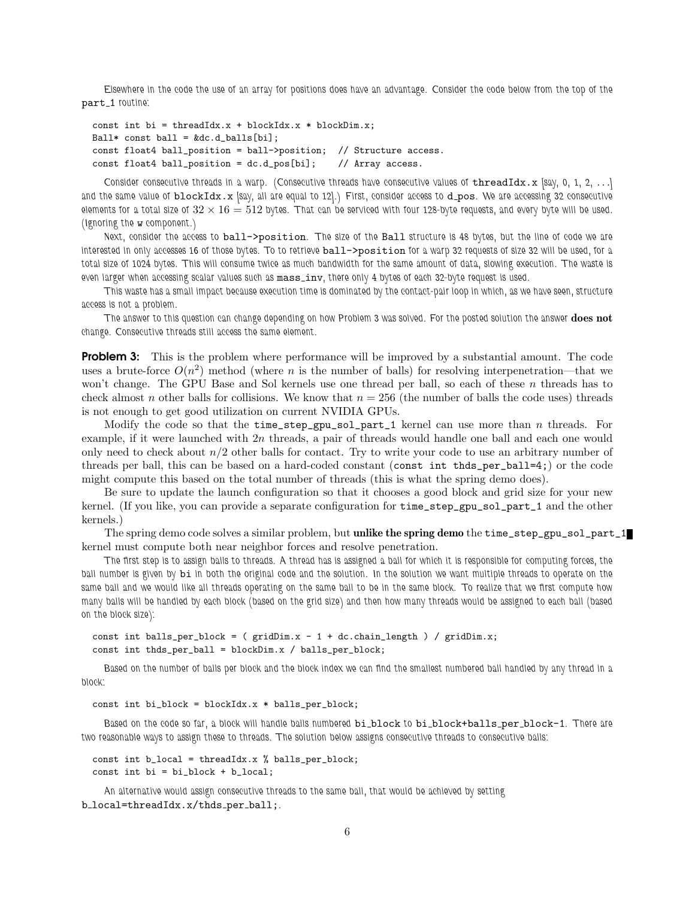*Elsewhere in the code the use of an array for positions does have an advantage. Consider the code below from the top of the* part 1 *routine:*

```
const int bi = threadIdx.x + blockIdx.x * blockDim.x;
Ball* const ball = kdc.d_balls[bi];const float4 ball_position = ball->position; // Structure access.
const float4 ball_position = dc.d_pos[bi]; // Array access.
```
*Consider consecutive threads in a warp. (Consecutive threads have consecutive values of* threadIdx.x *[say, 0, 1, 2,* . . .*]* and the same value of blockIdx.x *[say, all are equal to 12].*) First, consider access to d\_pos. We are accessing 32 consecutive *elements for a total size of*  $32 \times 16 = 512$  bytes. That can be serviced with four 128-byte requests, and every byte will be used. *(Ignoring the* w *component.)*

*Next, consider the access to* ball->position*. The size of the* Ball *structure is 48 bytes, but the line of code we are interested in only accesses 16 of those bytes. To to retrieve* ball->position *for a warp 32 requests of size 32 will be used, for a total size of 1024 bytes. This will consume twice as much bandwidth for the same amount of data, slowing execution. The waste is* even larger when accessing scalar values such as mass\_inv, there only 4 bytes of each 32-byte request is used.

*This waste has a small impact because execution time is dominated by the contact-pair loop in which, as we have seen, structure access is not a problem.*

*The answer to this question can change depending on how Problem 3 was solved. For the posted solution the answer* does not *change. Consecutive threads still access the same element.*

**Problem 3:** This is the problem where performance will be improved by a substantial amount. The code uses a brute-force  $O(n^2)$  method (where n is the number of balls) for resolving interpenetration—that we won't change. The GPU Base and Sol kernels use one thread per ball, so each of these n threads has to check almost n other balls for collisions. We know that  $n = 256$  (the number of balls the code uses) threads is not enough to get good utilization on current NVIDIA GPUs.

Modify the code so that the  $time\_step\_gpu\_sol\_part\_1$  kernel can use more than n threads. For example, if it were launched with  $2n$  threads, a pair of threads would handle one ball and each one would only need to check about  $n/2$  other balls for contact. Try to write your code to use an arbitrary number of threads per ball, this can be based on a hard-coded constant (const int thds\_per\_ball=4;) or the code might compute this based on the total number of threads (this is what the spring demo does).

Be sure to update the launch configuration so that it chooses a good block and grid size for your new kernel. (If you like, you can provide a separate configuration for time\_step\_gpu\_sol\_part\_1 and the other kernels.)

The spring demo code solves a similar problem, but **unlike the spring demo** the time\_step\_gpu\_sol\_part\_1 kernel must compute both near neighbor forces and resolve penetration.

*The first step is to assign balls to threads. A thread has is assigned a ball for which it is responsible for computing forces, the ball number is given by* bi *in both the original code and the solution. In the solution we want multiple threads to operate on the same ball and we would like all threads operating on the same ball to be in the same block. To realize that we first compute how many balls will be handled by each block (based on the grid size) and then how many threads would be assigned to each ball (based on the block size):*

```
const int balls_per_block = (gridDim.x - 1 + dc.chain_length) / gridDim.x;const int thds_per_ball = blockDim.x / balls_per_block;
```
*Based on the number of balls per block and the block index we can find the smallest numbered ball handled by any thread in a block:*

```
const int bi_block = blockIdx.x * balls_per_block;
```
*Based on the code so far, a block will handle balls numbered* bi block *to* bi block+balls per block-1*. There are two reasonable ways to assign these to threads. The solution below assigns consecutive threads to consecutive balls:*

```
const int b<sup>local</sup> = threadIdx.x % balls_per_block;
```

```
const int bi = bi_block + b_local;
```
*An alternative would assign consecutive threads to the same ball, that would be achieved by setting* b local=threadIdx.x/thds per ball;*.*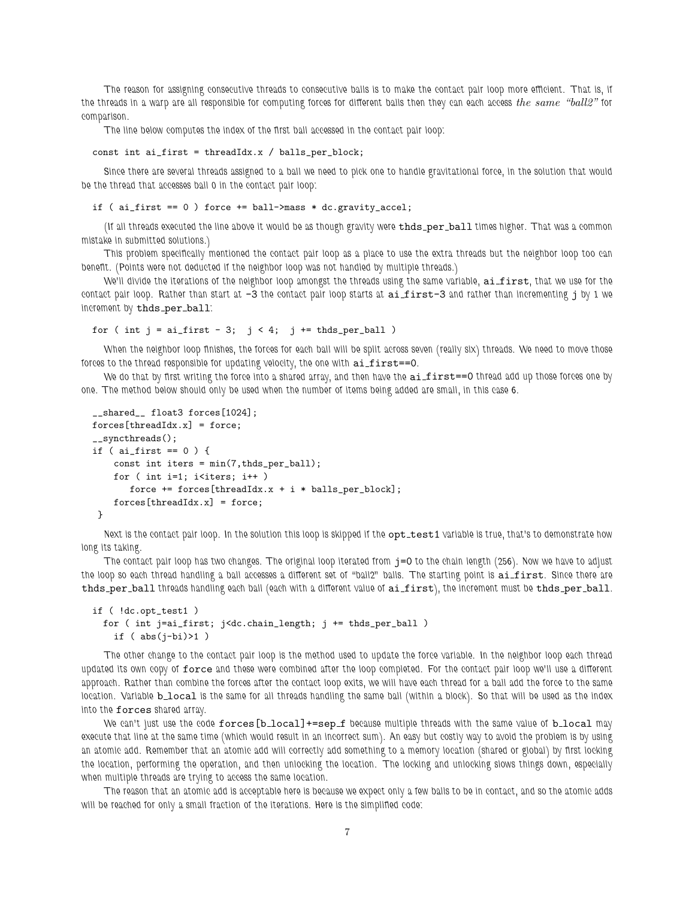*The reason for assigning consecutive threads to consecutive balls is to make the contact pair loop more efficient. That is, if the threads in a warp are all responsible for computing forces for different balls then they can each access the same "ball2" for comparison.*

*The line below computes the index of the first ball accessed in the contact pair loop:*

```
const int ai_first = threadIdx.x / balls_per_block;
```
*Since there are several threads assigned to a ball we need to pick one to handle gravitational force, in the solution that would be the thread that accesses ball 0 in the contact pair loop:*

if ( ai\_first == 0 ) force += ball->mass \* dc.gravity\_accel;

*(If all threads executed the line above it would be as though gravity were* thds per ball times higher. That was a common *mistake in submitted solutions.)*

*This problem specifically mentioned the contact pair loop as a place to use the extra threads but the neighbor loop too can benefit. (Points were not deducted if the neighbor loop was not handled by multiple threads.)*

*We'll divide the iterations of the neighbor loop amongst the threads using the same variable,* ai first*, that we use for the contact pair loop. Rather than start at*  $-3$  *the contact pair loop starts at*  $ai\_first-3$  *and rather than incrementing j by 1 we increment by* thds per ball*:*

for ( int  $j = ai\_first - 3$ ;  $j < 4$ ;  $j += thds\_per\_ball$  )

*When the neighbor loop finishes, the forces for each ball will be split across seven (really six) threads. We need to move those* forces to the thread responsible for updating velocity, the one with  $a$ i\_first==0.

*We do that by first writing the force into a shared array, and then have the* ai first==0 *thread add up those forces one by one. The method below should only be used when the number of items being added are small, in this case 6.*

```
__shared__ float3 forces[1024];
forces[threadIdx.x] = force;
__syncthreads();
if ( ai_first == 0 ) {
   const int iters = min(7, thds\_per\_ball);for ( int i=1; i<iters; i++ )
      force += forces[threadIdx.x + i * balls_per_block];
    forces[threadIdx.x] = force;}
```
Next is the contact pair loop. In the solution this loop is skipped if the opt\_test1 *variable* is true, that's to demonstrate how *long its taking.*

*The contact pair loop has two changes. The original loop iterated from* j=0 *to the chain length (256). Now we have to adjust* the loop so each thread handling a ball accesses a different set of "ball2" balls. The starting point is ai first. Since there are thds per ball *threads handling each ball (each with a different value of* ai first*), the increment must be* thds per ball*.*

```
if ( !dc.opt_test1 )
  for ( int j=ai_first; j<dc.chain_length; j += thds_per_ball )
   if (abs(j-bi)>1)
```
*The other change to the contact pair loop is the method used to update the force variable. In the neighbor loop each thread updated its own copy of* force *and these were combined after the loop completed. For the contact pair loop we'll use a different approach. Rather than combine the forces after the contact loop exits, we will have each thread for a ball add the force to the same location. Variable* **b\_local** is the same for all threads handling the same ball (within a block). So that will be used as the index *into the* forces *shared array.*

*We can't just use the code* forces[b local]+=sep f *because multiple threads with the same value of* b local *may execute that line at the same time (which would result in an incorrect sum). An easy but costly way to avoid the problem is by using an atomic add. Remember that an atomic add will correctly add something to a memory location (shared or global) by first locking the location, performing the operation, and then unlocking the location. The locking and unlocking slows things down, especially when multiple threads are trying to access the same location.*

*The reason that an atomic add is acceptable here is because we expect only a few balls to be in contact, and so the atomic adds will be reached for only a small fraction of the iterations. Here is the simplified code:*